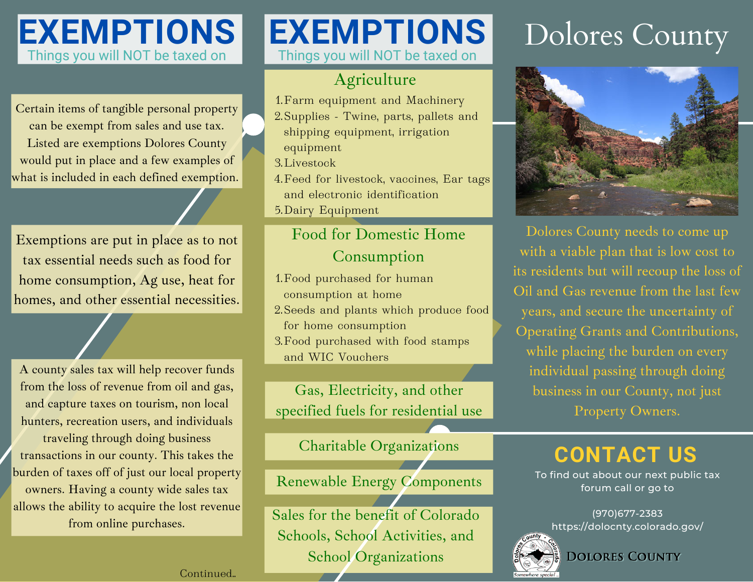# **EXEMPTIONS**

Certain items of tangible personal property can be exempt from sales and use tax. Listed are exemptions Dolores County would put in place and a few examples of what is included in each defined exemption.

Exemptions are put in place as to not tax essential needs such as food for home consumption, Ag use, heat for homes, and other essential necessities.

A county sales tax will help recover funds from the loss of revenue from oil and gas, and capture taxes on tourism, non local hunters, recreation users, and individuals traveling through doing business transactions in our county. This takes the burden of taxes off of just our local property owners. Having a county wide sales tax allows the ability to acquire the lost revenue from online purchases.

## **EXEMPTIONS** Things you will NOT be taxed on

### Agriculture

- Farm equipment and Machinery 1.
- 2.Supplies Twine, parts, pallets and shipping equipment, irrigation equipment
- Livestock 3.
- Feed for livestock, vaccines, Ear tags 4. and electronic identification
- 5.Dairy Equipment

## Food for Domestic Home Consumption

- Food purchased for human 1. consumption at home
- Seeds and plants which produce food 2.
- for home consumption
- Food purchased with food stamps 3. and WIC Vouchers

Gas, Electricity, and other specified fuels for residential use

Charitable Organizations

Renewable Energy Components

Sales for the benefit of Colorado Schools, School Activities, and School Organizations

## Dolores County



Dolores County needs to come up with a viable plan that is low cost to its residents but will recoup the loss of Oil and Gas revenue from the last few years, and secure the uncertainty of Operating Grants and Contributions, while placing the burden on every individual passing through doing business in our County, not just Property Owners.

## **CONTACT US**

To find out about our next public tax forum call or go to

(970)677-2383 https://dolocnty.colorado.gov/



**DOLORES COUNTY** 

#### Continued..